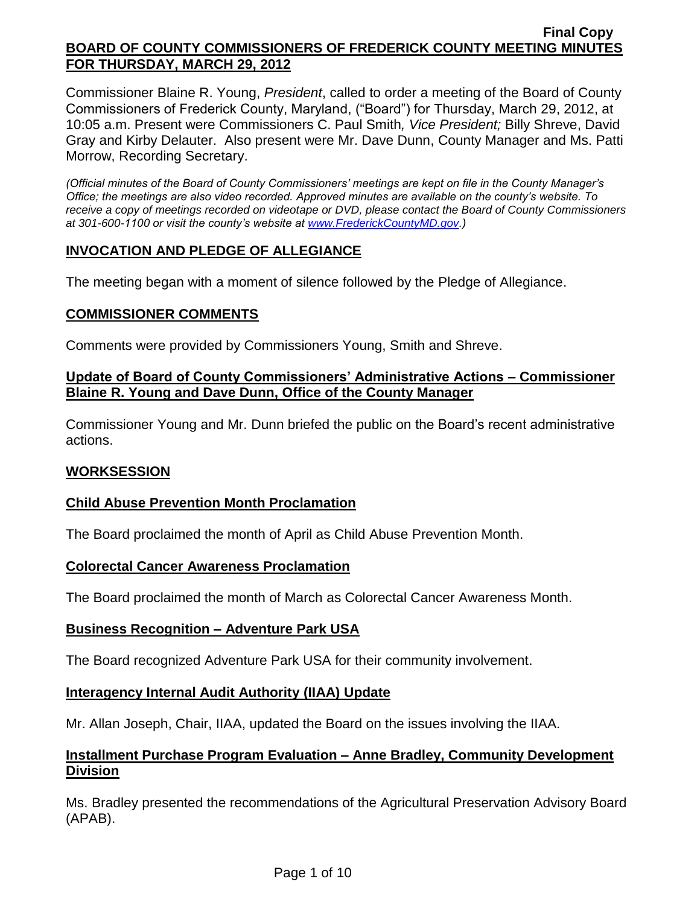Commissioner Blaine R. Young, *President*, called to order a meeting of the Board of County Commissioners of Frederick County, Maryland, ("Board") for Thursday, March 29, 2012, at 10:05 a.m. Present were Commissioners C. Paul Smith*, Vice President;* Billy Shreve, David Gray and Kirby Delauter. Also present were Mr. Dave Dunn, County Manager and Ms. Patti Morrow, Recording Secretary.

*(Official minutes of the Board of County Commissioners' meetings are kept on file in the County Manager's Office; the meetings are also video recorded. Approved minutes are available on the county's website. To receive a copy of meetings recorded on videotape or DVD, please contact the Board of County Commissioners at 301-600-1100 or visit the county's website at [www.FrederickCountyMD.gov.](http://www.frederickcountymd.gov/))*

# **INVOCATION AND PLEDGE OF ALLEGIANCE**

The meeting began with a moment of silence followed by the Pledge of Allegiance.

## **COMMISSIONER COMMENTS**

Comments were provided by Commissioners Young, Smith and Shreve.

## **Update of Board of County Commissioners' Administrative Actions – Commissioner Blaine R. Young and Dave Dunn, Office of the County Manager**

Commissioner Young and Mr. Dunn briefed the public on the Board's recent administrative actions.

## **WORKSESSION**

## **Child Abuse Prevention Month Proclamation**

The Board proclaimed the month of April as Child Abuse Prevention Month.

## **Colorectal Cancer Awareness Proclamation**

The Board proclaimed the month of March as Colorectal Cancer Awareness Month.

#### **Business Recognition – Adventure Park USA**

The Board recognized Adventure Park USA for their community involvement.

## **Interagency Internal Audit Authority (IIAA) Update**

Mr. Allan Joseph, Chair, IIAA, updated the Board on the issues involving the IIAA.

## **Installment Purchase Program Evaluation – Anne Bradley, Community Development Division**

Ms. Bradley presented the recommendations of the Agricultural Preservation Advisory Board (APAB).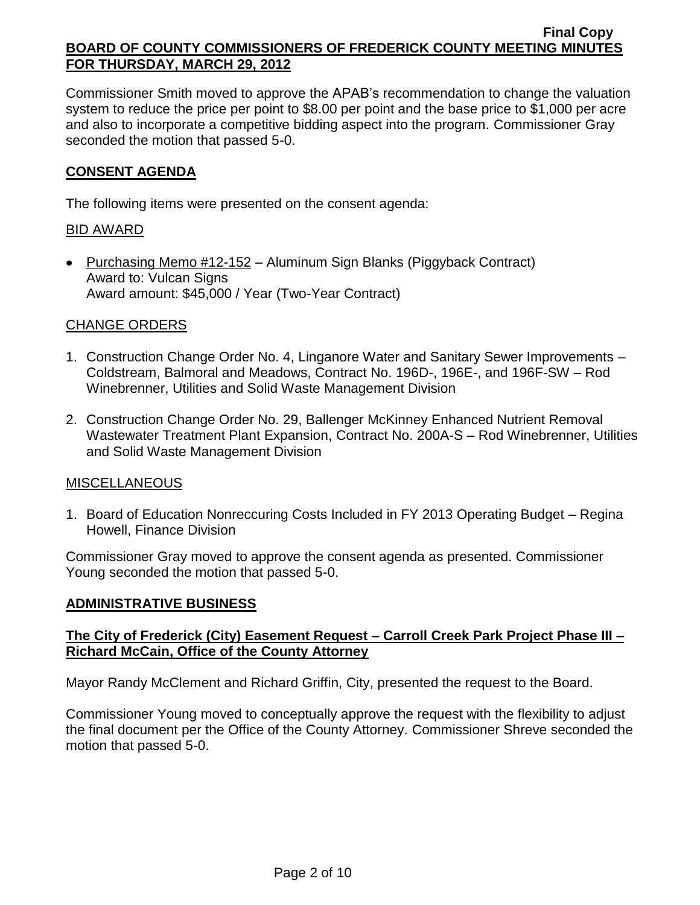Commissioner Smith moved to approve the APAB's recommendation to change the valuation system to reduce the price per point to \$8.00 per point and the base price to \$1,000 per acre and also to incorporate a competitive bidding aspect into the program. Commissioner Gray seconded the motion that passed 5-0.

## **CONSENT AGENDA**

The following items were presented on the consent agenda:

## BID AWARD

• Purchasing Memo #12-152 – Aluminum Sign Blanks (Piggyback Contract) Award to: Vulcan Signs Award amount: \$45,000 / Year (Two-Year Contract)

# CHANGE ORDERS

- 1. Construction Change Order No. 4, Linganore Water and Sanitary Sewer Improvements Coldstream, Balmoral and Meadows, Contract No. 196D-, 196E-, and 196F-SW – Rod Winebrenner, Utilities and Solid Waste Management Division
- 2. Construction Change Order No. 29, Ballenger McKinney Enhanced Nutrient Removal Wastewater Treatment Plant Expansion, Contract No. 200A-S – Rod Winebrenner, Utilities and Solid Waste Management Division

## MISCELLANEOUS

1. Board of Education Nonreccuring Costs Included in FY 2013 Operating Budget – Regina Howell, Finance Division

Commissioner Gray moved to approve the consent agenda as presented. Commissioner Young seconded the motion that passed 5-0.

## **ADMINISTRATIVE BUSINESS**

## **The City of Frederick (City) Easement Request – Carroll Creek Park Project Phase III – Richard McCain, Office of the County Attorney**

Mayor Randy McClement and Richard Griffin, City, presented the request to the Board.

Commissioner Young moved to conceptually approve the request with the flexibility to adjust the final document per the Office of the County Attorney. Commissioner Shreve seconded the motion that passed 5-0.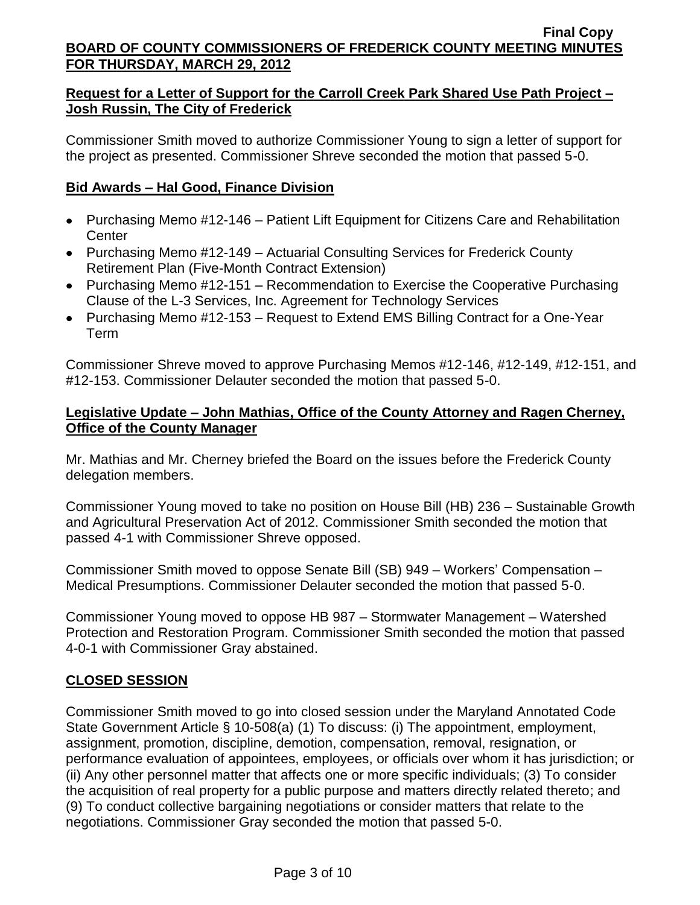# **Request for a Letter of Support for the Carroll Creek Park Shared Use Path Project – Josh Russin, The City of Frederick**

Commissioner Smith moved to authorize Commissioner Young to sign a letter of support for the project as presented. Commissioner Shreve seconded the motion that passed 5-0.

# **Bid Awards – Hal Good, Finance Division**

- Purchasing Memo #12-146 Patient Lift Equipment for Citizens Care and Rehabilitation **Center**
- Purchasing Memo #12-149 Actuarial Consulting Services for Frederick County Retirement Plan (Five-Month Contract Extension)
- Purchasing Memo #12-151 Recommendation to Exercise the Cooperative Purchasing Clause of the L-3 Services, Inc. Agreement for Technology Services
- Purchasing Memo #12-153 Request to Extend EMS Billing Contract for a One-Year Term

Commissioner Shreve moved to approve Purchasing Memos #12-146, #12-149, #12-151, and #12-153. Commissioner Delauter seconded the motion that passed 5-0.

## **Legislative Update – John Mathias, Office of the County Attorney and Ragen Cherney, Office of the County Manager**

Mr. Mathias and Mr. Cherney briefed the Board on the issues before the Frederick County delegation members.

Commissioner Young moved to take no position on House Bill (HB) 236 – Sustainable Growth and Agricultural Preservation Act of 2012. Commissioner Smith seconded the motion that passed 4-1 with Commissioner Shreve opposed.

Commissioner Smith moved to oppose Senate Bill (SB) 949 – Workers' Compensation – Medical Presumptions. Commissioner Delauter seconded the motion that passed 5-0.

Commissioner Young moved to oppose HB 987 – Stormwater Management – Watershed Protection and Restoration Program. Commissioner Smith seconded the motion that passed 4-0-1 with Commissioner Gray abstained.

## **CLOSED SESSION**

Commissioner Smith moved to go into closed session under the Maryland Annotated Code State Government Article § 10-508(a) (1) To discuss: (i) The appointment, employment, assignment, promotion, discipline, demotion, compensation, removal, resignation, or performance evaluation of appointees, employees, or officials over whom it has jurisdiction; or (ii) Any other personnel matter that affects one or more specific individuals; (3) To consider the acquisition of real property for a public purpose and matters directly related thereto; and (9) To conduct collective bargaining negotiations or consider matters that relate to the negotiations. Commissioner Gray seconded the motion that passed 5-0.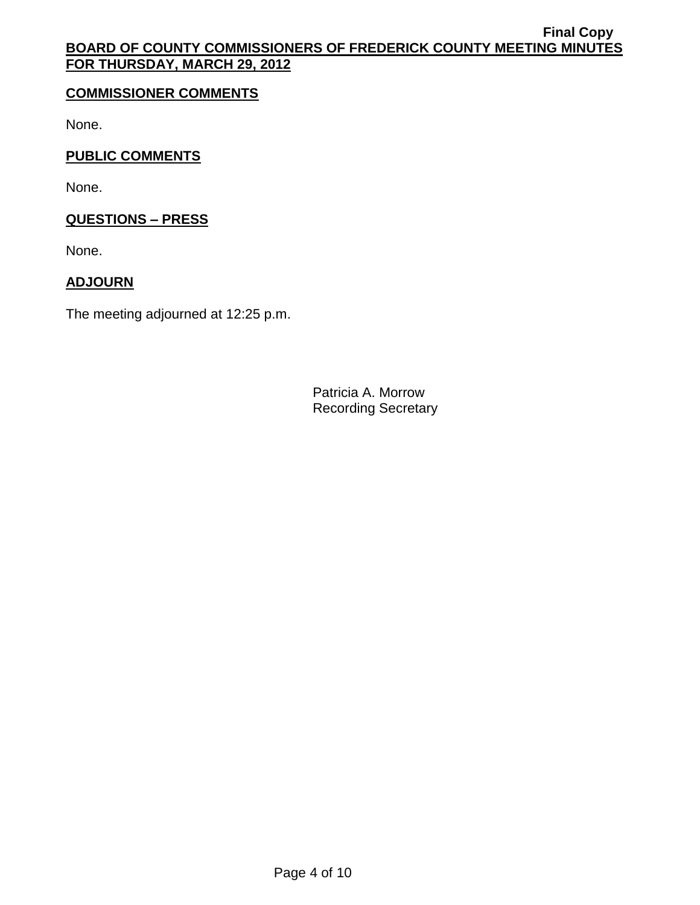# **COMMISSIONER COMMENTS**

None.

# **PUBLIC COMMENTS**

None.

# **QUESTIONS – PRESS**

None.

# **ADJOURN**

The meeting adjourned at 12:25 p.m.

Patricia A. Morrow Recording Secretary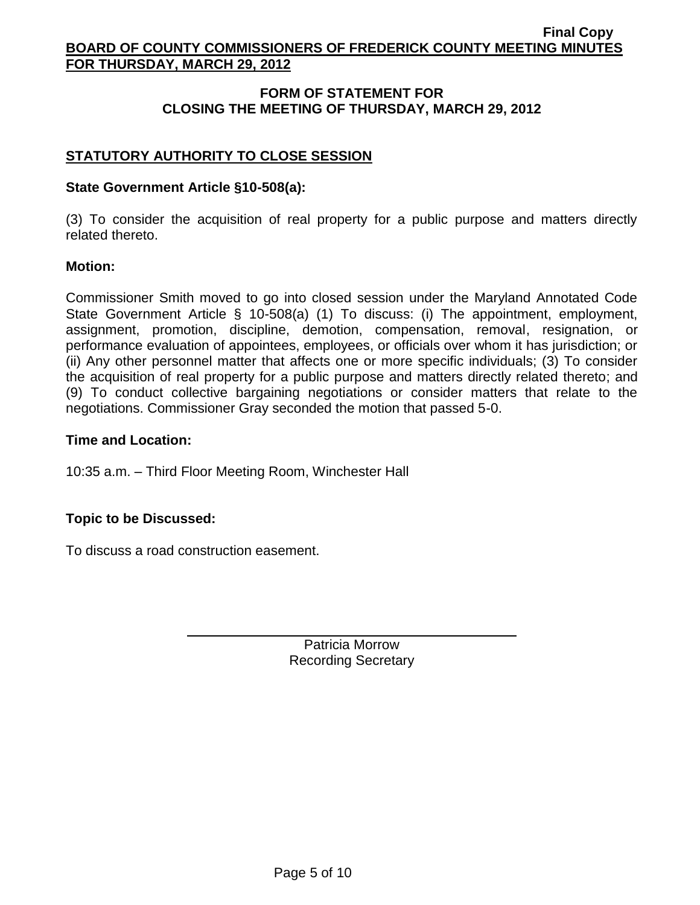# **FORM OF STATEMENT FOR CLOSING THE MEETING OF THURSDAY, MARCH 29, 2012**

# **STATUTORY AUTHORITY TO CLOSE SESSION**

### **State Government Article §10-508(a):**

(3) To consider the acquisition of real property for a public purpose and matters directly related thereto.

### **Motion:**

Commissioner Smith moved to go into closed session under the Maryland Annotated Code State Government Article § 10-508(a) (1) To discuss: (i) The appointment, employment, assignment, promotion, discipline, demotion, compensation, removal, resignation, or performance evaluation of appointees, employees, or officials over whom it has jurisdiction; or (ii) Any other personnel matter that affects one or more specific individuals; (3) To consider the acquisition of real property for a public purpose and matters directly related thereto; and (9) To conduct collective bargaining negotiations or consider matters that relate to the negotiations. Commissioner Gray seconded the motion that passed 5-0.

### **Time and Location:**

10:35 a.m. – Third Floor Meeting Room, Winchester Hall

## **Topic to be Discussed:**

To discuss a road construction easement.

Patricia Morrow Recording Secretary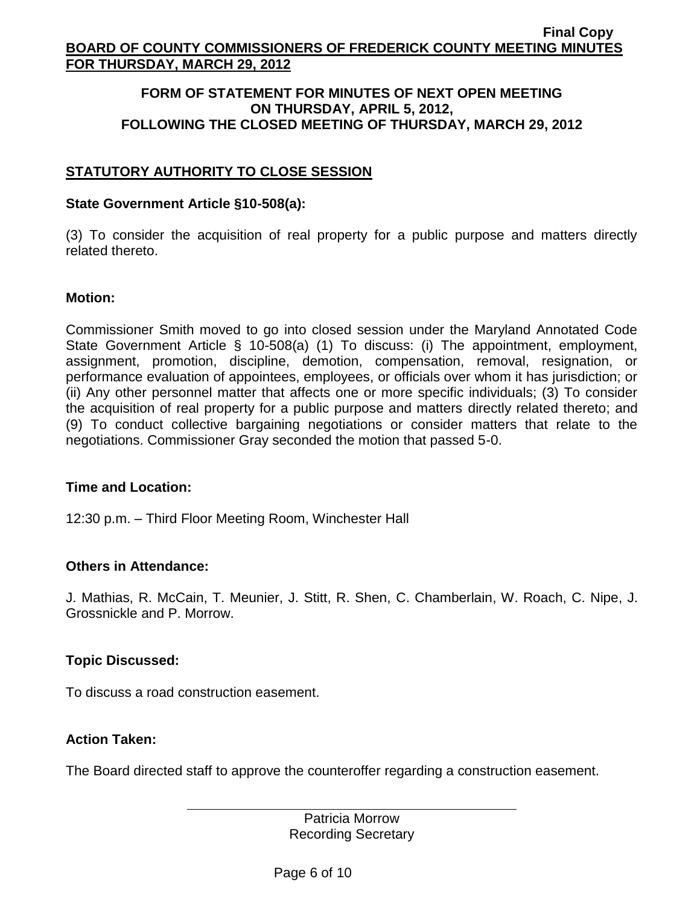### **FORM OF STATEMENT FOR MINUTES OF NEXT OPEN MEETING ON THURSDAY, APRIL 5, 2012, FOLLOWING THE CLOSED MEETING OF THURSDAY, MARCH 29, 2012**

# **STATUTORY AUTHORITY TO CLOSE SESSION**

### **State Government Article §10-508(a):**

(3) To consider the acquisition of real property for a public purpose and matters directly related thereto.

### **Motion:**

Commissioner Smith moved to go into closed session under the Maryland Annotated Code State Government Article § 10-508(a) (1) To discuss: (i) The appointment, employment, assignment, promotion, discipline, demotion, compensation, removal, resignation, or performance evaluation of appointees, employees, or officials over whom it has jurisdiction; or (ii) Any other personnel matter that affects one or more specific individuals; (3) To consider the acquisition of real property for a public purpose and matters directly related thereto; and (9) To conduct collective bargaining negotiations or consider matters that relate to the negotiations. Commissioner Gray seconded the motion that passed 5-0.

## **Time and Location:**

12:30 p.m. – Third Floor Meeting Room, Winchester Hall

## **Others in Attendance:**

J. Mathias, R. McCain, T. Meunier, J. Stitt, R. Shen, C. Chamberlain, W. Roach, C. Nipe, J. Grossnickle and P. Morrow.

## **Topic Discussed:**

To discuss a road construction easement.

## **Action Taken:**

The Board directed staff to approve the counteroffer regarding a construction easement.

Patricia Morrow Recording Secretary

Page 6 of 10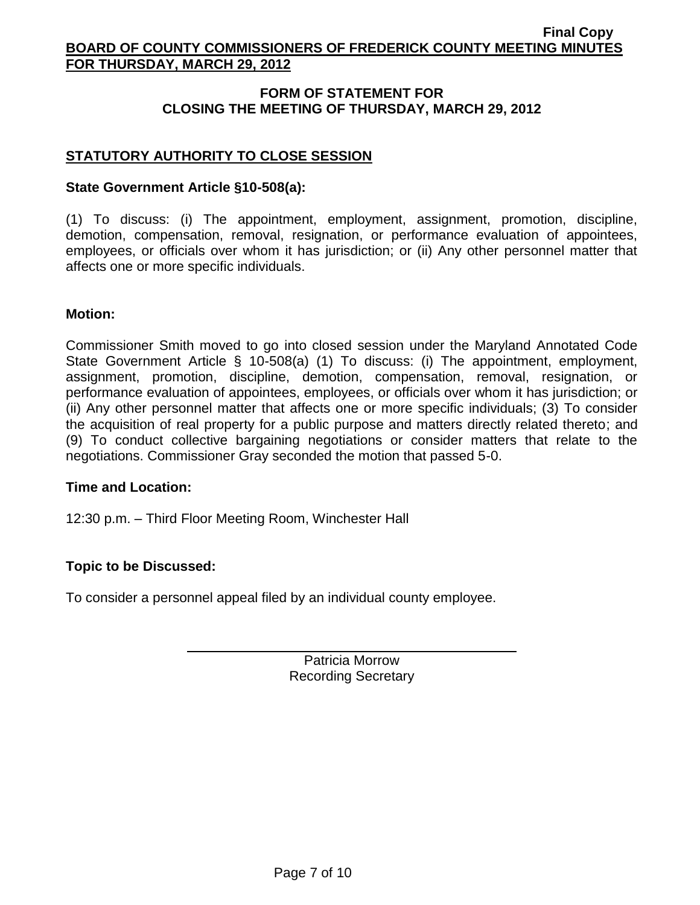# **FORM OF STATEMENT FOR CLOSING THE MEETING OF THURSDAY, MARCH 29, 2012**

# **STATUTORY AUTHORITY TO CLOSE SESSION**

### **State Government Article §10-508(a):**

(1) To discuss: (i) The appointment, employment, assignment, promotion, discipline, demotion, compensation, removal, resignation, or performance evaluation of appointees, employees, or officials over whom it has jurisdiction; or (ii) Any other personnel matter that affects one or more specific individuals.

#### **Motion:**

Commissioner Smith moved to go into closed session under the Maryland Annotated Code State Government Article § 10-508(a) (1) To discuss: (i) The appointment, employment, assignment, promotion, discipline, demotion, compensation, removal, resignation, or performance evaluation of appointees, employees, or officials over whom it has jurisdiction; or (ii) Any other personnel matter that affects one or more specific individuals; (3) To consider the acquisition of real property for a public purpose and matters directly related thereto; and (9) To conduct collective bargaining negotiations or consider matters that relate to the negotiations. Commissioner Gray seconded the motion that passed 5-0.

#### **Time and Location:**

12:30 p.m. – Third Floor Meeting Room, Winchester Hall

## **Topic to be Discussed:**

To consider a personnel appeal filed by an individual county employee.

Patricia Morrow Recording Secretary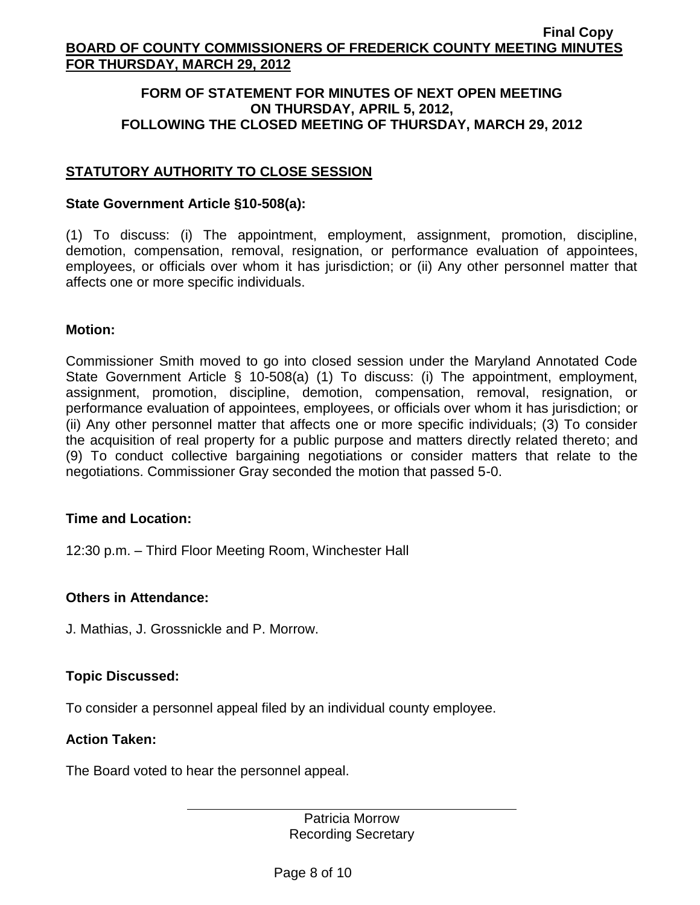### **FORM OF STATEMENT FOR MINUTES OF NEXT OPEN MEETING ON THURSDAY, APRIL 5, 2012, FOLLOWING THE CLOSED MEETING OF THURSDAY, MARCH 29, 2012**

# **STATUTORY AUTHORITY TO CLOSE SESSION**

#### **State Government Article §10-508(a):**

(1) To discuss: (i) The appointment, employment, assignment, promotion, discipline, demotion, compensation, removal, resignation, or performance evaluation of appointees, employees, or officials over whom it has jurisdiction; or (ii) Any other personnel matter that affects one or more specific individuals.

### **Motion:**

Commissioner Smith moved to go into closed session under the Maryland Annotated Code State Government Article § 10-508(a) (1) To discuss: (i) The appointment, employment, assignment, promotion, discipline, demotion, compensation, removal, resignation, or performance evaluation of appointees, employees, or officials over whom it has jurisdiction; or (ii) Any other personnel matter that affects one or more specific individuals; (3) To consider the acquisition of real property for a public purpose and matters directly related thereto; and (9) To conduct collective bargaining negotiations or consider matters that relate to the negotiations. Commissioner Gray seconded the motion that passed 5-0.

#### **Time and Location:**

12:30 p.m. – Third Floor Meeting Room, Winchester Hall

#### **Others in Attendance:**

J. Mathias, J. Grossnickle and P. Morrow.

## **Topic Discussed:**

To consider a personnel appeal filed by an individual county employee.

#### **Action Taken:**

The Board voted to hear the personnel appeal.

Patricia Morrow Recording Secretary

Page 8 of 10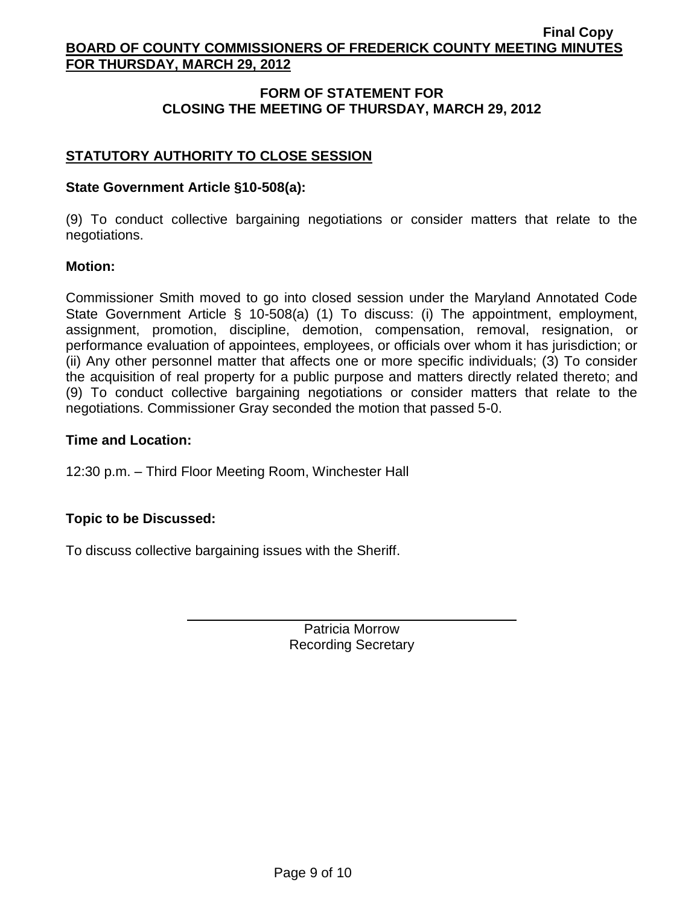# **FORM OF STATEMENT FOR CLOSING THE MEETING OF THURSDAY, MARCH 29, 2012**

# **STATUTORY AUTHORITY TO CLOSE SESSION**

## **State Government Article §10-508(a):**

(9) To conduct collective bargaining negotiations or consider matters that relate to the negotiations.

### **Motion:**

Commissioner Smith moved to go into closed session under the Maryland Annotated Code State Government Article § 10-508(a) (1) To discuss: (i) The appointment, employment, assignment, promotion, discipline, demotion, compensation, removal, resignation, or performance evaluation of appointees, employees, or officials over whom it has jurisdiction; or (ii) Any other personnel matter that affects one or more specific individuals; (3) To consider the acquisition of real property for a public purpose and matters directly related thereto; and (9) To conduct collective bargaining negotiations or consider matters that relate to the negotiations. Commissioner Gray seconded the motion that passed 5-0.

### **Time and Location:**

12:30 p.m. – Third Floor Meeting Room, Winchester Hall

## **Topic to be Discussed:**

To discuss collective bargaining issues with the Sheriff.

Patricia Morrow Recording Secretary